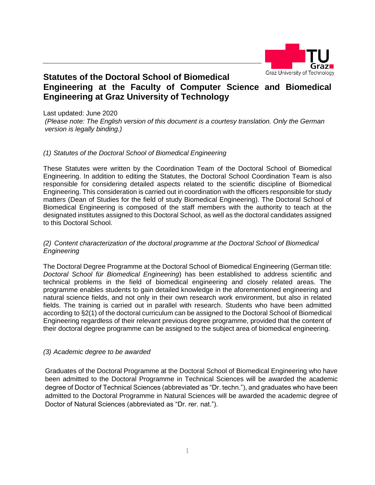

# **Statutes of the Doctoral School of Biomedical Engineering at the Faculty of Computer Science and Biomedical Engineering at Graz University of Technology**

Last updated: June 2020 *(Please note: The English version of this document is a courtesy translation. Only the German version is legally binding.)*

# *(1) Statutes of the Doctoral School of Biomedical Engineering*

These Statutes were written by the Coordination Team of the Doctoral School of Biomedical Engineering. In addition to editing the Statutes, the Doctoral School Coordination Team is also responsible for considering detailed aspects related to the scientific discipline of Biomedical Engineering. This consideration is carried out in coordination with the officers responsible for study matters (Dean of Studies for the field of study Biomedical Engineering). The Doctoral School of Biomedical Engineering is composed of the staff members with the authority to teach at the designated institutes assigned to this Doctoral School, as well as the doctoral candidates assigned to this Doctoral School.

#### *(2) Content characterization of the doctoral programme at the Doctoral School of Biomedical Engineering*

The Doctoral Degree Programme at the Doctoral School of Biomedical Engineering (German title: *Doctoral School für Biomedical Engineering*) has been established to address scientific and technical problems in the field of biomedical engineering and closely related areas. The programme enables students to gain detailed knowledge in the aforementioned engineering and natural science fields, and not only in their own research work environment, but also in related fields. The training is carried out in parallel with research. Students who have been admitted according to §2(1) of the doctoral curriculum can be assigned to the Doctoral School of Biomedical Engineering regardless of their relevant previous degree programme, provided that the content of their doctoral degree programme can be assigned to the subject area of biomedical engineering.

#### *(3) Academic degree to be awarded*

Graduates of the Doctoral Programme at the Doctoral School of Biomedical Engineering who have been admitted to the Doctoral Programme in Technical Sciences will be awarded the academic degree of Doctor of Technical Sciences (abbreviated as "Dr. techn."), and graduates who have been admitted to the Doctoral Programme in Natural Sciences will be awarded the academic degree of Doctor of Natural Sciences (abbreviated as "Dr. rer. nat.").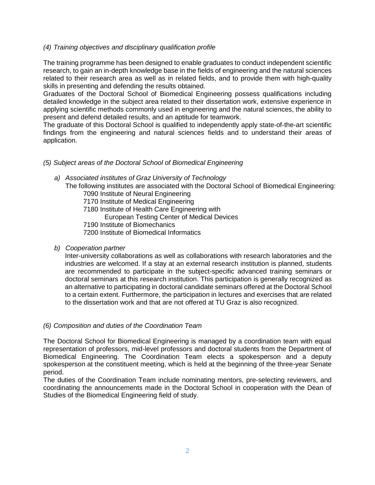# *(4) Training objectives and disciplinary qualification profile*

The training programme has been designed to enable graduates to conduct independent scientific research, to gain an in-depth knowledge base in the fields of engineering and the natural sciences related to their research area as well as in related fields, and to provide them with high-quality skills in presenting and defending the results obtained.

Graduates of the Doctoral School of Biomedical Engineering possess qualifications including detailed knowledge in the subject area related to their dissertation work, extensive experience in applying scientific methods commonly used in engineering and the natural sciences, the ability to present and defend detailed results, and an aptitude for teamwork.

The graduate of this Doctoral School is qualified to independently apply state-of-the-art scientific findings from the engineering and natural sciences fields and to understand their areas of application.

# *(5) Subject areas of the Doctoral School of Biomedical Engineering*

*a) Associated institutes of Graz University of Technology* The following institutes are associated with the Doctoral School of Biomedical Engineering: 7090 Institute of Neural Engineering 7170 Institute of Medical Engineering 7180 Institute of Health Care Engineering with European Testing Center of Medical Devices 7190 Institute of Biomechanics 7200 Institute of Biomedical Informatics

# *b) Cooperation partner*

Inter-university collaborations as well as collaborations with research laboratories and the industries are welcomed. If a stay at an external research institution is planned, students are recommended to participate in the subject-specific advanced training seminars or doctoral seminars at this research institution. This participation is generally recognized as an alternative to participating in doctoral candidate seminars offered at the Doctoral School to a certain extent. Furthermore, the participation in lectures and exercises that are related to the dissertation work and that are not offered at TU Graz is also recognized.

#### *(6) Composition and duties of the Coordination Team*

The Doctoral School for Biomedical Engineering is managed by a coordination team with equal representation of professors, mid-level professors and doctoral students from the Department of Biomedical Engineering. The Coordination Team elects a spokesperson and a deputy spokesperson at the constituent meeting, which is held at the beginning of the three-year Senate period.

The duties of the Coordination Team include nominating mentors, pre-selecting reviewers, and coordinating the announcements made in the Doctoral School in cooperation with the Dean of Studies of the Biomedical Engineering field of study.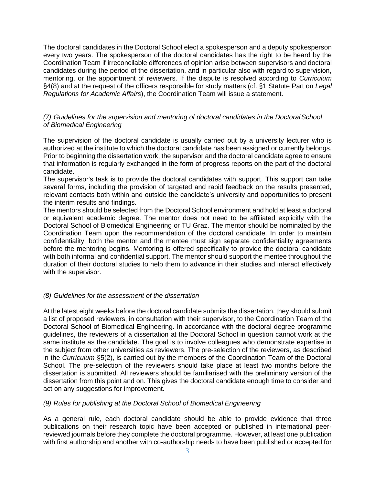The doctoral candidates in the Doctoral School elect a spokesperson and a deputy spokesperson every two years. The spokesperson of the doctoral candidates has the right to be heard by the Coordination Team if irreconcilable differences of opinion arise between supervisors and doctoral candidates during the period of the dissertation, and in particular also with regard to supervision, mentoring, or the appointment of reviewers. If the dispute is resolved according to *Curriculum* §4(8) and at the request of the officers responsible for study matters (cf. §1 Statute Part on *Legal Regulations for Academic Affairs*), the Coordination Team will issue a statement.

# *(7) Guidelines for the supervision and mentoring of doctoral candidates in the DoctoralSchool of Biomedical Engineering*

The supervision of the doctoral candidate is usually carried out by a university lecturer who is authorized at the institute to which the doctoral candidate has been assigned or currently belongs. Prior to beginning the dissertation work, the supervisor and the doctoral candidate agree to ensure that information is regularly exchanged in the form of progress reports on the part of the doctoral candidate.

The supervisor's task is to provide the doctoral candidates with support. This support can take several forms, including the provision of targeted and rapid feedback on the results presented, relevant contacts both within and outside the candidate's university and opportunities to present the interim results and findings.

The mentors should be selected from the Doctoral School environment and hold at least a doctoral or equivalent academic degree. The mentor does not need to be affiliated explicitly with the Doctoral School of Biomedical Engineering or TU Graz. The mentor should be nominated by the Coordination Team upon the recommendation of the doctoral candidate. In order to maintain confidentiality, both the mentor and the mentee must sign separate confidentiality agreements before the mentoring begins. Mentoring is offered specifically to provide the doctoral candidate with both informal and confidential support. The mentor should support the mentee throughout the duration of their doctoral studies to help them to advance in their studies and interact effectively with the supervisor.

# *(8) Guidelines for the assessment of the dissertation*

At the latest eight weeks before the doctoral candidate submits the dissertation, they should submit a list of proposed reviewers, in consultation with their supervisor, to the Coordination Team of the Doctoral School of Biomedical Engineering. In accordance with the doctoral degree programme guidelines, the reviewers of a dissertation at the Doctoral School in question cannot work at the same institute as the candidate. The goal is to involve colleagues who demonstrate expertise in the subject from other universities as reviewers. The pre-selection of the reviewers, as described in the *Curriculum* §5(2), is carried out by the members of the Coordination Team of the Doctoral School. The pre-selection of the reviewers should take place at least two months before the dissertation is submitted. All reviewers should be familiarised with the preliminary version of the dissertation from this point and on. This gives the doctoral candidate enough time to consider and act on any suggestions for improvement.

# *(9) Rules for publishing at the Doctoral School of Biomedical Engineering*

As a general rule, each doctoral candidate should be able to provide evidence that three publications on their research topic have been accepted or published in international peerreviewed journals before they complete the doctoral programme. However, at least one publication with first authorship and another with co-authorship needs to have been published or accepted for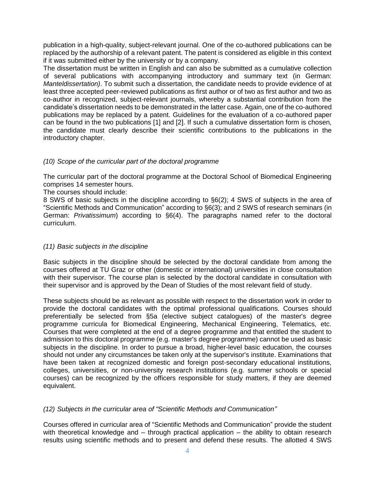publication in a high-quality, subject-relevant journal. One of the co-authored publications can be replaced by the authorship of a relevant patent. The patent is considered as eligible in this context if it was submitted either by the university or by a company.

The dissertation must be written in English and can also be submitted as a cumulative collection of several publications with accompanying introductory and summary text (in German: *Manteldissertation)*. To submit such a dissertation, the candidate needs to provide evidence of at least three accepted peer-reviewed publications as first author or of two as first author and two as co-author in recognized, subject-relevant journals, whereby a substantial contribution from the candidate's dissertation needs to be demonstrated in the latter case. Again, one of the co-authored publications may be replaced by a patent. Guidelines for the evaluation of a co-authored paper can be found in the two publications [1] and [2]. If such a cumulative dissertation form is chosen, the candidate must clearly describe their scientific contributions to the publications in the introductory chapter.

# *(10) Scope of the curricular part of the doctoral programme*

The curricular part of the doctoral programme at the Doctoral School of Biomedical Engineering comprises 14 semester hours.

The courses should include:

8 SWS of basic subjects in the discipline according to §6(2); 4 SWS of subjects in the area of "Scientific Methods and Communication" according to §6(3); and 2 SWS of research seminars (in German: *Privatissimum*) according to §6(4). The paragraphs named refer to the doctoral curriculum.

# *(11) Basic subjects in the discipline*

Basic subjects in the discipline should be selected by the doctoral candidate from among the courses offered at TU Graz or other (domestic or international) universities in close consultation with their supervisor. The course plan is selected by the doctoral candidate in consultation with their supervisor and is approved by the Dean of Studies of the most relevant field of study.

These subjects should be as relevant as possible with respect to the dissertation work in order to provide the doctoral candidates with the optimal professional qualifications. Courses should preferentially be selected from §5a (elective subject catalogues) of the master's degree programme curricula for Biomedical Engineering, Mechanical Engineering, Telematics, etc. Courses that were completed at the end of a degree programme and that entitled the student to admission to this doctoral programme (e.g. master's degree programme) cannot be used as basic subjects in the discipline. In order to pursue a broad, higher-level basic education, the courses should not under any circumstances be taken only at the supervisor's institute. Examinations that have been taken at recognized domestic and foreign post-secondary educational institutions, colleges, universities, or non-university research institutions (e.g. summer schools or special courses) can be recognized by the officers responsible for study matters, if they are deemed equivalent.

# *(12) Subjects in the curricular area of "Scientific Methods and Communication"*

Courses offered in curricular area of "Scientific Methods and Communication" provide the student with theoretical knowledge and – through practical application – the ability to obtain research results using scientific methods and to present and defend these results. The allotted 4 SWS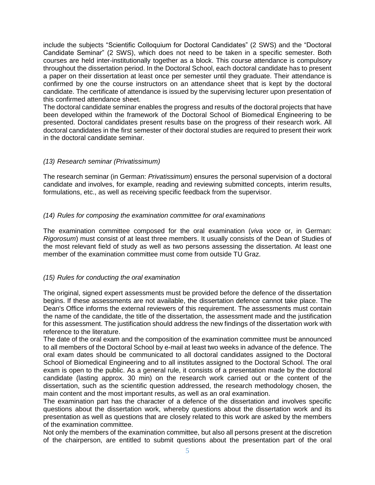include the subjects "Scientific Colloquium for Doctoral Candidates" (2 SWS) and the "Doctoral Candidate Seminar" (2 SWS), which does not need to be taken in a specific semester. Both courses are held inter-institutionally together as a block. This course attendance is compulsory throughout the dissertation period. In the Doctoral School, each doctoral candidate has to present a paper on their dissertation at least once per semester until they graduate. Their attendance is confirmed by one the course instructors on an attendance sheet that is kept by the doctoral candidate. The certificate of attendance is issued by the supervising lecturer upon presentation of this confirmed attendance sheet.

The doctoral candidate seminar enables the progress and results of the doctoral projects that have been developed within the framework of the Doctoral School of Biomedical Engineering to be presented. Doctoral candidates present results base on the progress of their research work. All doctoral candidates in the first semester of their doctoral studies are required to present their work in the doctoral candidate seminar.

#### *(13) Research seminar (Privatissimum)*

The research seminar (in German: *Privatissimum*) ensures the personal supervision of a doctoral candidate and involves, for example, reading and reviewing submitted concepts, interim results, formulations, etc., as well as receiving specific feedback from the supervisor.

# *(14) Rules for composing the examination committee for oral examinations*

The examination committee composed for the oral examination (*viva voce* or, in German: *Rigorosum*) must consist of at least three members. It usually consists of the Dean of Studies of the most relevant field of study as well as two persons assessing the dissertation. At least one member of the examination committee must come from outside TU Graz.

# *(15) Rules for conducting the oral examination*

The original, signed expert assessments must be provided before the defence of the dissertation begins. If these assessments are not available, the dissertation defence cannot take place. The Dean's Office informs the external reviewers of this requirement. The assessments must contain the name of the candidate, the title of the dissertation, the assessment made and the justification for this assessment. The justification should address the new findings of the dissertation work with reference to the literature.

The date of the oral exam and the composition of the examination committee must be announced to all members of the Doctoral School by e-mail at least two weeks in advance of the defence. The oral exam dates should be communicated to all doctoral candidates assigned to the Doctoral School of Biomedical Engineering and to all institutes assigned to the Doctoral School. The oral exam is open to the public. As a general rule, it consists of a presentation made by the doctoral candidate (lasting approx. 30 min) on the research work carried out or the content of the dissertation, such as the scientific question addressed, the research methodology chosen, the main content and the most important results, as well as an oral examination.

The examination part has the character of a defence of the dissertation and involves specific questions about the dissertation work, whereby questions about the dissertation work and its presentation as well as questions that are closely related to this work are asked by the members of the examination committee.

Not only the members of the examination committee, but also all persons present at the discretion of the chairperson, are entitled to submit questions about the presentation part of the oral